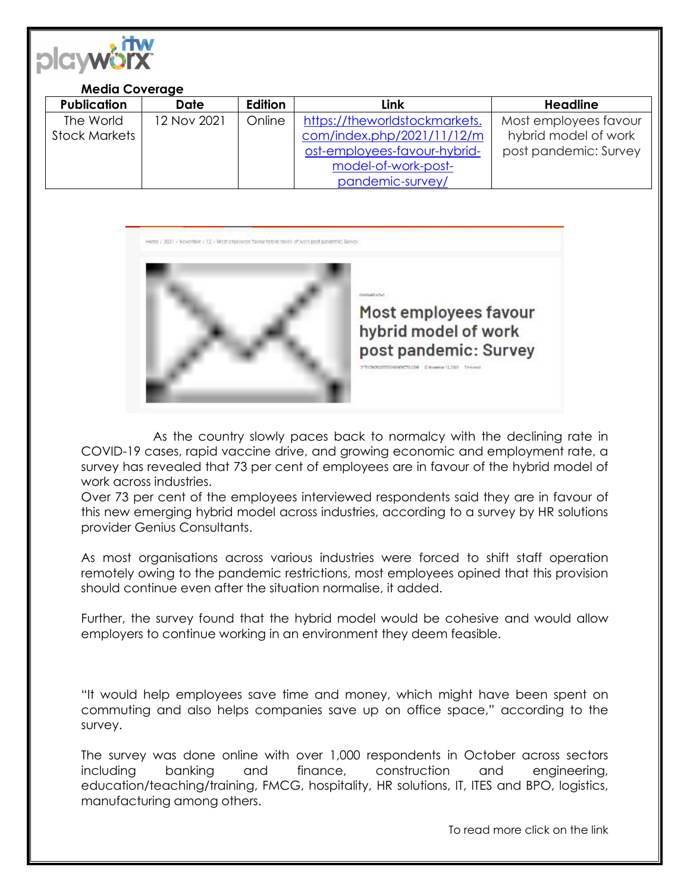

## **Media Coverage**

| <b>Publication</b>   | <b>Date</b> | Edition | Link                          | Headline              |
|----------------------|-------------|---------|-------------------------------|-----------------------|
| The World            | 12 Nov 2021 | Online  | https://theworldstockmarkets. | Most employees favour |
| <b>Stock Markets</b> |             |         | com/index.php/2021/11/12/m    | hybrid model of work  |
|                      |             |         | ost-employees-favour-hybrid-  | post pandemic: Survey |
|                      |             |         | model-of-work-post-           |                       |
|                      |             |         | pandemic-survey/              |                       |

Home / 2021 / Revember / 32 / Most employees favour hybrid model of werk post pandemic: Survey



Most employees favour hybrid model of work post pandemic: Survey

**ESCTS.COM E-Sovenber (2,132)** Timining

As the country slowly paces back to normalcy with the declining rate in COVID-19 cases, rapid vaccine drive, and growing economic and employment rate, a survey has revealed that 73 per cent of employees are in favour of the hybrid model of work across industries.

Over 73 per cent of the employees interviewed respondents said they are in favour of this new emerging hybrid model across industries, according to a survey by HR solutions provider Genius Consultants.

As most organisations across various industries were forced to shift staff operation remotely owing to the pandemic restrictions, most employees opined that this provision should continue even after the situation normalise, it added.

Further, the survey found that the hybrid model would be cohesive and would allow employers to continue working in an environment they deem feasible.

"It would help employees save time and money, which might have been spent on commuting and also helps companies save up on office space," according to the survey.

The survey was done online with over 1,000 respondents in October across sectors including banking and finance, construction and engineering, education/teaching/training, FMCG, hospitality, HR solutions, IT, ITES and BPO, logistics, manufacturing among others.

To read more click on the link